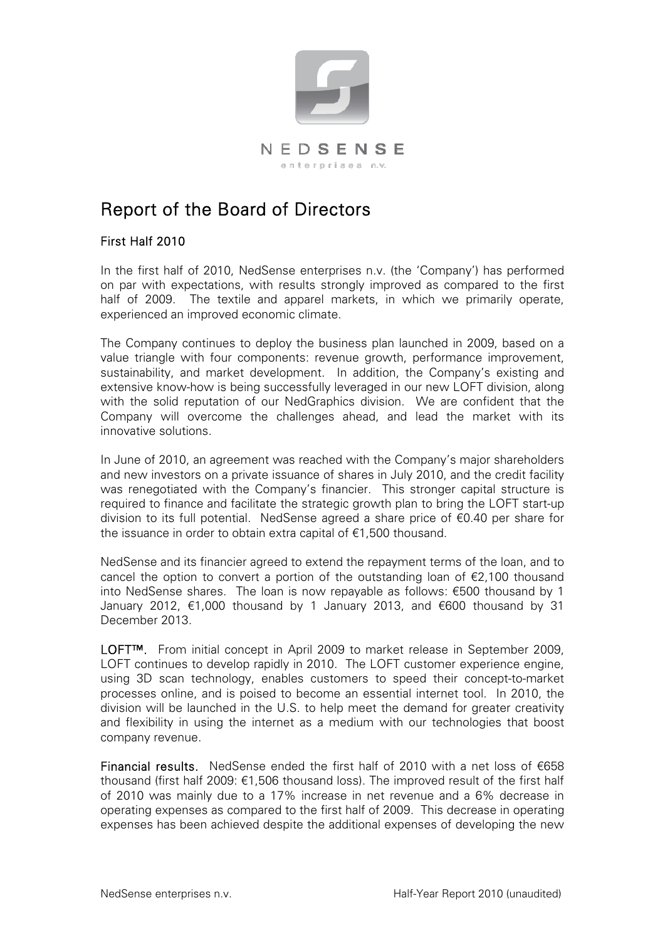

# Report of the Board of Directors

# First Half 2010

In the first half of 2010, NedSense enterprises n.v. (the 'Company') has performed on par with expectations, with results strongly improved as compared to the first half of 2009. The textile and apparel markets, in which we primarily operate, experienced an improved economic climate.

The Company continues to deploy the business plan launched in 2009, based on a value triangle with four components: revenue growth, performance improvement, sustainability, and market development. In addition, the Company's existing and extensive know-how is being successfully leveraged in our new LOFT division, along with the solid reputation of our NedGraphics division. We are confident that the Company will overcome the challenges ahead, and lead the market with its innovative solutions.

In June of 2010, an agreement was reached with the Company's major shareholders and new investors on a private issuance of shares in July 2010, and the credit facility was renegotiated with the Company's financier. This stronger capital structure is required to finance and facilitate the strategic growth plan to bring the LOFT start-up division to its full potential. NedSense agreed a share price of €0.40 per share for the issuance in order to obtain extra capital of €1,500 thousand.

NedSense and its financier agreed to extend the repayment terms of the loan, and to cancel the option to convert a portion of the outstanding loan of  $E$ , 100 thousand into NedSense shares. The loan is now repayable as follows: €500 thousand by 1 January 2012, €1,000 thousand by 1 January 2013, and €600 thousand by 31 December 2013.

LOFT<sup>™</sup>. From initial concept in April 2009 to market release in September 2009, LOFT continues to develop rapidly in 2010. The LOFT customer experience engine, using 3D scan technology, enables customers to speed their concept-to-market processes online, and is poised to become an essential internet tool. In 2010, the division will be launched in the U.S. to help meet the demand for greater creativity and flexibility in using the internet as a medium with our technologies that boost company revenue.

Financial results. NedSense ended the first half of 2010 with a net loss of  $€658$ thousand (first half 2009: €1,506 thousand loss). The improved result of the first half of 2010 was mainly due to a 17% increase in net revenue and a 6% decrease in operating expenses as compared to the first half of 2009. This decrease in operating expenses has been achieved despite the additional expenses of developing the new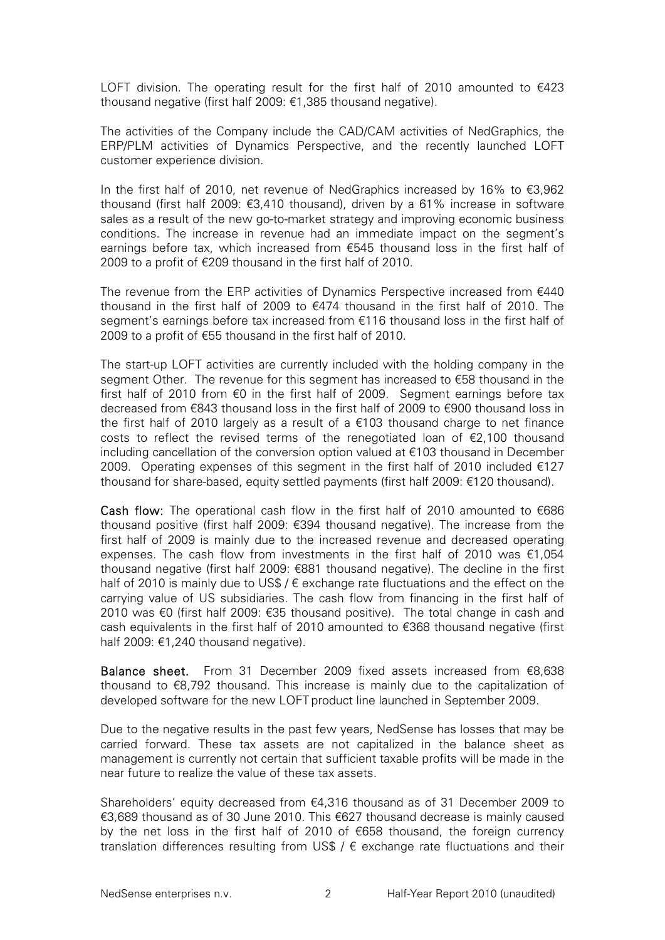LOFT division. The operating result for the first half of 2010 amounted to  $\epsilon$ 423 thousand negative (first half 2009: €1,385 thousand negative).

The activities of the Company include the CAD/CAM activities of NedGraphics, the ERP/PLM activities of Dynamics Perspective, and the recently launched LOFT customer experience division.

In the first half of 2010, net revenue of NedGraphics increased by 16% to  $\epsilon$ 3,962 thousand (first half 2009: €3,410 thousand), driven by a 61% increase in software sales as a result of the new go-to-market strategy and improving economic business conditions. The increase in revenue had an immediate impact on the segment's earnings before tax, which increased from €545 thousand loss in the first half of 2009 to a profit of €209 thousand in the first half of 2010.

The revenue from the ERP activities of Dynamics Perspective increased from  $€440$ thousand in the first half of 2009 to  $€474$  thousand in the first half of 2010. The segment's earnings before tax increased from €116 thousand loss in the first half of 2009 to a profit of €55 thousand in the first half of 2010.

The start-up LOFT activities are currently included with the holding company in the segment Other. The revenue for this segment has increased to  $\epsilon$ 58 thousand in the first half of 2010 from €0 in the first half of 2009. Segment earnings before tax decreased from €843 thousand loss in the first half of 2009 to €900 thousand loss in the first half of 2010 largely as a result of a €103 thousand charge to net finance costs to reflect the revised terms of the renegotiated loan of  $\epsilon$ 2,100 thousand including cancellation of the conversion option valued at €103 thousand in December 2009. Operating expenses of this segment in the first half of 2010 included  $\epsilon$ 127 thousand for share-based, equity settled payments (first half 2009: €120 thousand).

Cash flow: The operational cash flow in the first half of 2010 amounted to  $€686$ thousand positive (first half 2009: €394 thousand negative). The increase from the first half of 2009 is mainly due to the increased revenue and decreased operating expenses. The cash flow from investments in the first half of 2010 was  $\epsilon$ 1,054 thousand negative (first half 2009: €881 thousand negative). The decline in the first half of 2010 is mainly due to US\$ /  $\epsilon$  exchange rate fluctuations and the effect on the carrying value of US subsidiaries. The cash flow from financing in the first half of 2010 was €0 (first half 2009: €35 thousand positive). The total change in cash and cash equivalents in the first half of 2010 amounted to €368 thousand negative (first half 2009: €1,240 thousand negative).

Balance sheet. From 31 December 2009 fixed assets increased from €8,638 thousand to €8,792 thousand. This increase is mainly due to the capitalization of developed software for the new LOFT product line launched in September 2009.

Due to the negative results in the past few years, NedSense has losses that may be carried forward. These tax assets are not capitalized in the balance sheet as management is currently not certain that sufficient taxable profits will be made in the near future to realize the value of these tax assets.

Shareholders' equity decreased from €4,316 thousand as of 31 December 2009 to €3,689 thousand as of 30 June 2010. This €627 thousand decrease is mainly caused by the net loss in the first half of 2010 of €658 thousand, the foreign currency translation differences resulting from US\$ /  $\epsilon$  exchange rate fluctuations and their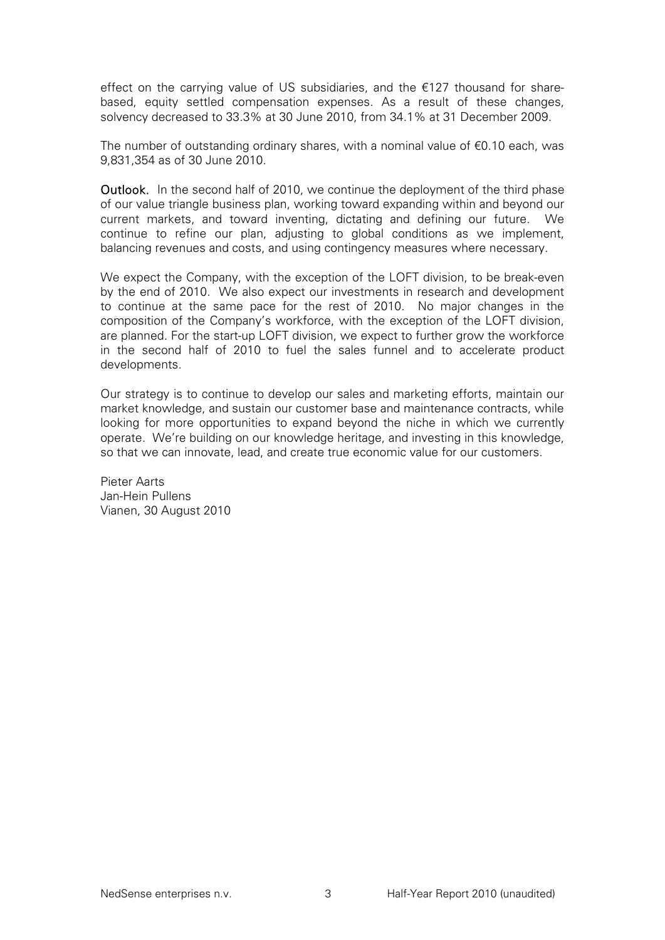effect on the carrying value of US subsidiaries, and the  $\epsilon$ 127 thousand for sharebased, equity settled compensation expenses. As a result of these changes, solvency decreased to 33.3% at 30 June 2010, from 34.1% at 31 December 2009.

The number of outstanding ordinary shares, with a nominal value of  $€0.10$  each, was 9,831,354 as of 30 June 2010.

Outlook. In the second half of 2010, we continue the deployment of the third phase of our value triangle business plan, working toward expanding within and beyond our current markets, and toward inventing, dictating and defining our future. We continue to refine our plan, adjusting to global conditions as we implement, balancing revenues and costs, and using contingency measures where necessary.

We expect the Company, with the exception of the LOFT division, to be break-even by the end of 2010. We also expect our investments in research and development to continue at the same pace for the rest of 2010. No major changes in the composition of the Company's workforce, with the exception of the LOFT division, are planned. For the start-up LOFT division, we expect to further grow the workforce in the second half of 2010 to fuel the sales funnel and to accelerate product developments.

Our strategy is to continue to develop our sales and marketing efforts, maintain our market knowledge, and sustain our customer base and maintenance contracts, while looking for more opportunities to expand beyond the niche in which we currently operate. We're building on our knowledge heritage, and investing in this knowledge, so that we can innovate, lead, and create true economic value for our customers.

Pieter Aarts Jan-Hein Pullens Vianen, 30 August 2010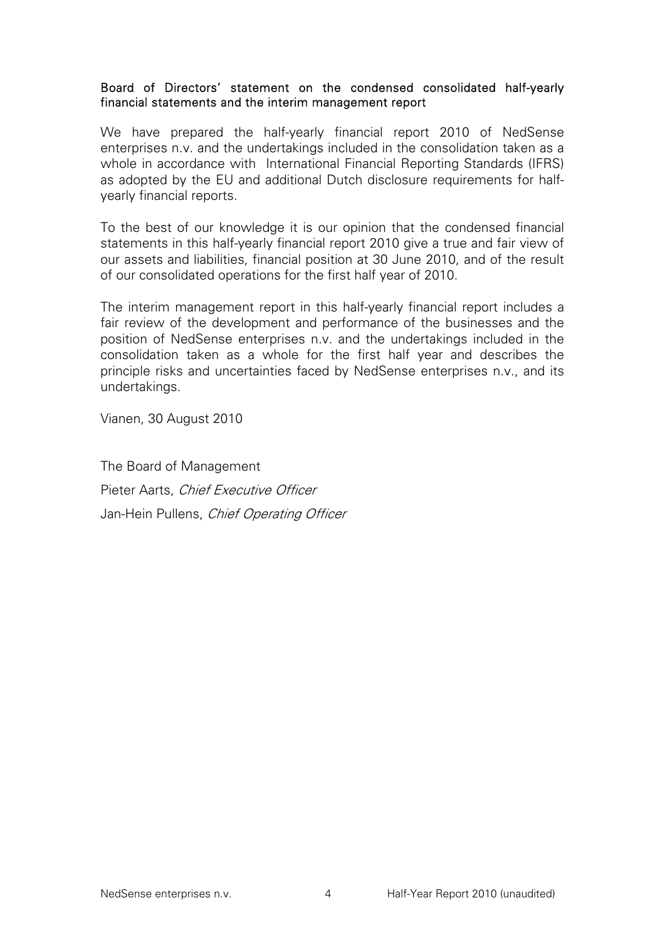# Board of Directors' statement on the condensed consolidated half-yearly financial statements and the interim management report

We have prepared the half-yearly financial report 2010 of NedSense enterprises n.v. and the undertakings included in the consolidation taken as a whole in accordance with International Financial Reporting Standards (IFRS) as adopted by the EU and additional Dutch disclosure requirements for halfyearly financial reports.

To the best of our knowledge it is our opinion that the condensed financial statements in this half-yearly financial report 2010 give a true and fair view of our assets and liabilities, financial position at 30 June 2010, and of the result of our consolidated operations for the first half year of 2010.

The interim management report in this half-yearly financial report includes a fair review of the development and performance of the businesses and the position of NedSense enterprises n.v. and the undertakings included in the consolidation taken as a whole for the first half year and describes the principle risks and uncertainties faced by NedSense enterprises n.v., and its undertakings.

Vianen, 30 August 2010

The Board of Management Pieter Aarts, Chief Executive Officer Jan-Hein Pullens, Chief Operating Officer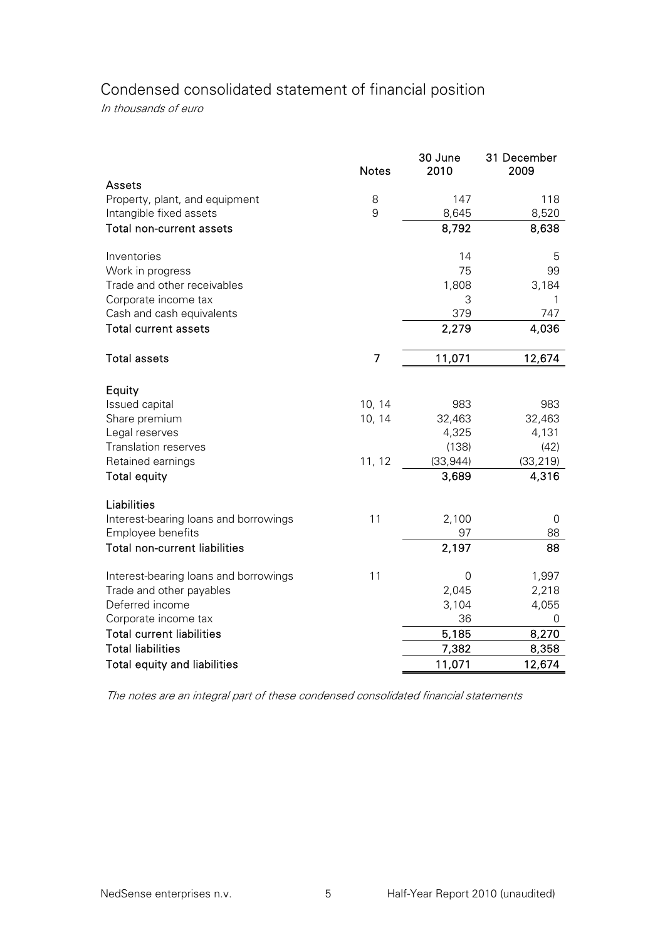# Condensed consolidated statement of financial position

In thousands of euro

|                                       | <b>Notes</b>   | 30 June<br>2010 | 31 December<br>2009 |
|---------------------------------------|----------------|-----------------|---------------------|
| <b>Assets</b>                         |                |                 |                     |
| Property, plant, and equipment        | 8              | 147             | 118                 |
| Intangible fixed assets               | 9              | 8,645           | 8,520               |
| Total non-current assets              |                | 8,792           | 8,638               |
| Inventories                           |                | 14              | 5                   |
| Work in progress                      |                | 75              | 99                  |
| Trade and other receivables           |                | 1,808           | 3,184               |
| Corporate income tax                  |                | 3               | 1                   |
| Cash and cash equivalents             |                | 379             | 747                 |
| <b>Total current assets</b>           |                | 2,279           | 4,036               |
| <b>Total assets</b>                   | $\overline{7}$ | 11,071          | 12,674              |
| Equity                                |                |                 |                     |
| Issued capital                        | 10, 14         | 983             | 983                 |
| Share premium                         | 10, 14         | 32,463          | 32,463              |
| Legal reserves                        |                | 4,325           | 4,131               |
| <b>Translation reserves</b>           |                | (138)           | (42)                |
| Retained earnings                     | 11, 12         | (33, 944)       | (33, 219)           |
| <b>Total equity</b>                   |                | 3,689           | 4,316               |
| Liabilities                           |                |                 |                     |
| Interest-bearing loans and borrowings | 11             | 2,100           | 0                   |
| Employee benefits                     |                | 97              | 88                  |
| <b>Total non-current liabilities</b>  |                | 2,197           | 88                  |
| Interest-bearing loans and borrowings | 11             | 0               | 1,997               |
| Trade and other payables              |                | 2,045           | 2,218               |
| Deferred income                       |                | 3,104           | 4,055               |
| Corporate income tax                  |                | 36              | 0                   |
| <b>Total current liabilities</b>      |                | 5,185           | 8,270               |
| <b>Total liabilities</b>              |                | 7,382           | 8,358               |
| <b>Total equity and liabilities</b>   |                | 11,071          | 12,674              |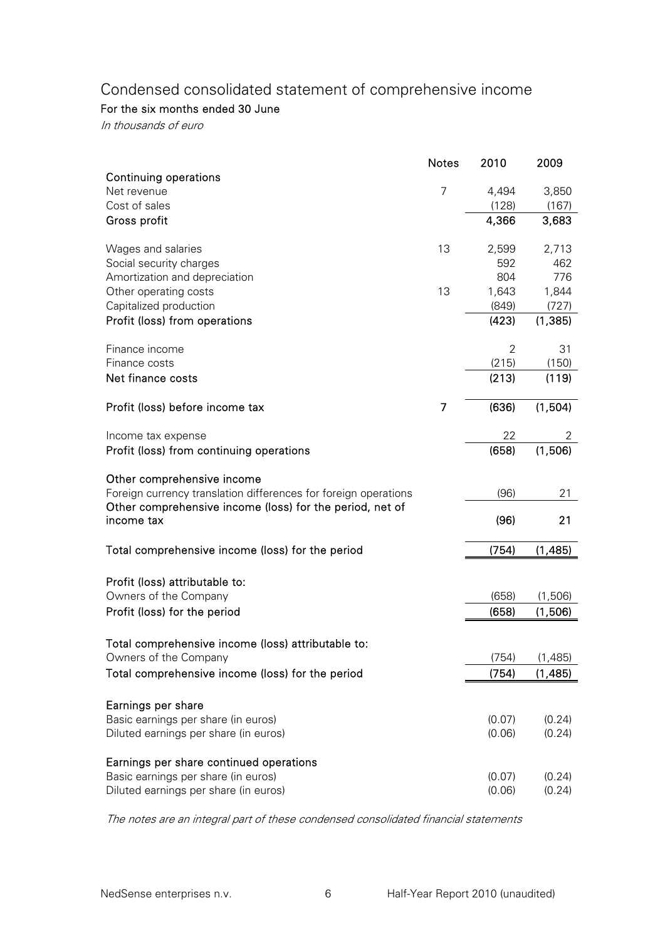# Condensed consolidated statement of comprehensive income

For the six months ended 30 June

In thousands of euro

| <b>Continuing operations</b>                                    | <b>Notes</b>   | 2010           | 2009               |
|-----------------------------------------------------------------|----------------|----------------|--------------------|
| Net revenue                                                     | $\overline{7}$ | 4,494          | 3,850              |
| Cost of sales                                                   |                | (128)          | (167)              |
| Gross profit                                                    |                | 4,366          | 3,683              |
| Wages and salaries                                              | 13             | 2,599          | 2,713              |
| Social security charges                                         |                | 592            | 462                |
| Amortization and depreciation                                   |                | 804            | 776                |
| Other operating costs                                           | 13             | 1,643          | 1,844              |
| Capitalized production                                          |                | (849)          | (727)              |
| Profit (loss) from operations                                   |                | (423)          | (1, 385)           |
| Finance income                                                  |                | 2              | 31                 |
| Finance costs                                                   |                | (215)          | (150)              |
| Net finance costs                                               |                | (213)          | (119)              |
| Profit (loss) before income tax                                 | 7              | (636)          | (1,504)            |
| Income tax expense                                              |                | 22             | 2                  |
| Profit (loss) from continuing operations                        |                | (658)          | (1,506)            |
| Other comprehensive income                                      |                |                |                    |
| Foreign currency translation differences for foreign operations |                | (96)           | 21                 |
| Other comprehensive income (loss) for the period, net of        |                |                |                    |
| income tax                                                      |                | (96)           | 21                 |
| Total comprehensive income (loss) for the period                |                | (754)          | (1,485)            |
|                                                                 |                |                |                    |
| Profit (loss) attributable to:                                  |                |                |                    |
| Owners of the Company<br>Profit (loss) for the period           |                | (658)<br>(658) | (1,506)<br>(1,506) |
|                                                                 |                |                |                    |
| Total comprehensive income (loss) attributable to:              |                |                |                    |
| Owners of the Company                                           |                | (754)          | (1,485)            |
| Total comprehensive income (loss) for the period                |                | (754)          | (1, 485)           |
|                                                                 |                |                |                    |
| Earnings per share<br>Basic earnings per share (in euros)       |                | (0.07)         | (0.24)             |
| Diluted earnings per share (in euros)                           |                | (0.06)         | (0.24)             |
|                                                                 |                |                |                    |
| Earnings per share continued operations                         |                |                |                    |
| Basic earnings per share (in euros)                             |                | (0.07)         | (0.24)             |
| Diluted earnings per share (in euros)                           |                | (0.06)         | (0.24)             |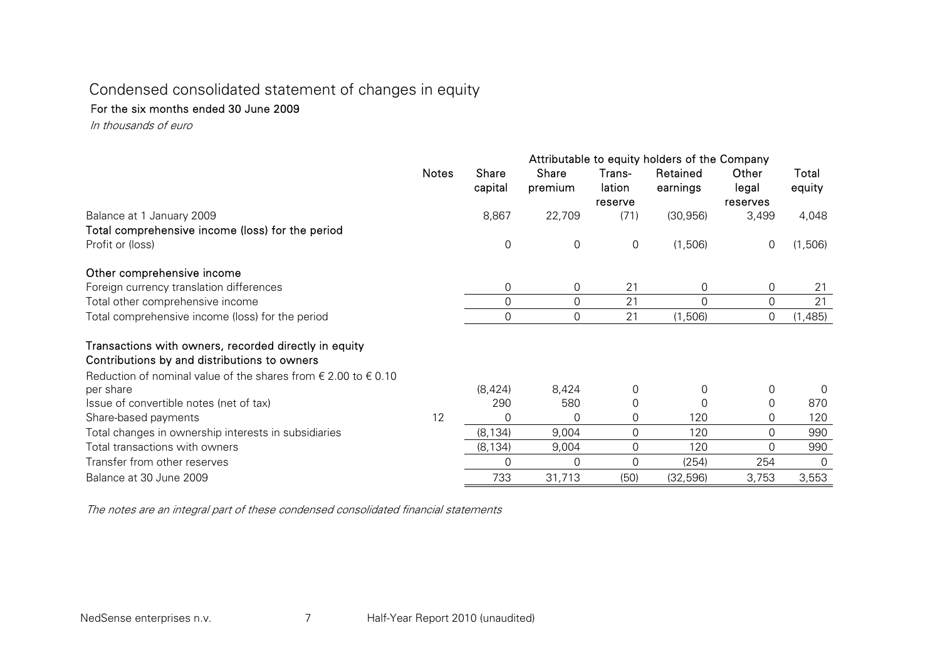# Condensed consolidated statement of changes in equity

#### For the six months ended 30 June 2009

In thousands of euro

|                                                                                                       |       | Attributable to equity holders of the Company |                  |                  |                      |                |                 |  |
|-------------------------------------------------------------------------------------------------------|-------|-----------------------------------------------|------------------|------------------|----------------------|----------------|-----------------|--|
|                                                                                                       | Notes | Share<br>capital                              | Share<br>premium | Trans-<br>lation | Retained<br>earnings | Other<br>legal | Total<br>equity |  |
|                                                                                                       |       |                                               |                  | reserve          |                      | reserves       |                 |  |
| Balance at 1 January 2009                                                                             |       | 8,867                                         | 22,709           | (71)             | (30, 956)            | 3,499          | 4,048           |  |
| Total comprehensive income (loss) for the period                                                      |       |                                               |                  |                  |                      |                |                 |  |
| Profit or (loss)                                                                                      |       | 0                                             | 0                | 0                | (1,506)              | 0              | (1,506)         |  |
| Other comprehensive income                                                                            |       |                                               |                  |                  |                      |                |                 |  |
| Foreign currency translation differences                                                              |       | 0                                             | 0                | 21               | 0                    | 0              | 21              |  |
| Total other comprehensive income                                                                      |       | 0                                             | 0                | 21               | 0                    | $\mathbf 0$    | 21              |  |
| Total comprehensive income (loss) for the period                                                      |       | 0                                             | $\Omega$         | 21               | (1,506)              | 0              | (1,485)         |  |
| Transactions with owners, recorded directly in equity<br>Contributions by and distributions to owners |       |                                               |                  |                  |                      |                |                 |  |
| Reduction of nominal value of the shares from $\epsilon$ 2.00 to $\epsilon$ 0.10                      |       |                                               |                  |                  |                      |                |                 |  |
| per share                                                                                             |       | (8,424)                                       | 8,424            | $\Omega$         | 0                    | 0              | $\Omega$        |  |
| Issue of convertible notes (net of tax)                                                               |       | 290                                           | 580              | 0                | 0                    | 0              | 870             |  |
| Share-based payments                                                                                  | 12    | 0                                             | 0                | 0                | 120                  | 0              | 120             |  |
| Total changes in ownership interests in subsidiaries                                                  |       | (8, 134)                                      | 9,004            | $\Omega$         | 120                  | 0              | 990             |  |
| Total transactions with owners                                                                        |       | (8, 134)                                      | 9,004            | $\Omega$         | 120                  | $\Omega$       | 990             |  |
| Transfer from other reserves                                                                          |       | 0                                             | 0                | 0                | (254)                | 254            | 0               |  |
| Balance at 30 June 2009                                                                               |       | 733                                           | 31,713           | (50)             | (32, 596)            | 3,753          | 3,553           |  |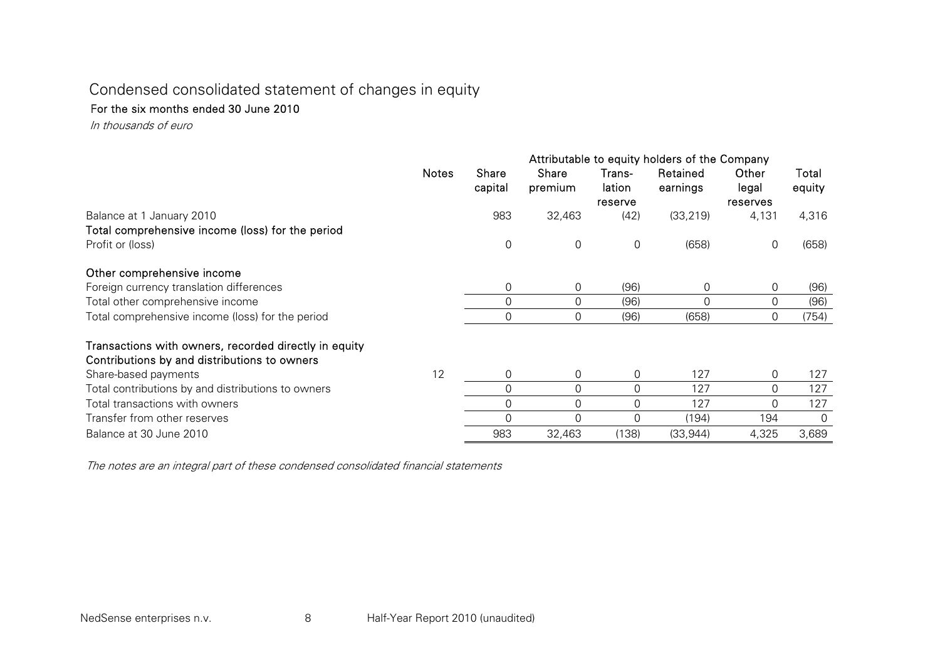# Condensed consolidated statement of changes in equity

#### For the six months ended 30 June 2010

In thousands of euro

|                                                                                                       | Attributable to equity holders of the Company |                         |                  |                  |                      |                |                 |
|-------------------------------------------------------------------------------------------------------|-----------------------------------------------|-------------------------|------------------|------------------|----------------------|----------------|-----------------|
|                                                                                                       | <b>Notes</b>                                  | <b>Share</b><br>capital | Share<br>premium | Trans-<br>lation | Retained<br>earnings | Other<br>legal | Total<br>equity |
|                                                                                                       |                                               |                         |                  | reserve          |                      | reserves       |                 |
| Balance at 1 January 2010<br>Total comprehensive income (loss) for the period                         |                                               | 983                     | 32,463           | (42)             | (33, 219)            | 4,131          | 4,316           |
| Profit or (loss)                                                                                      |                                               | $\boldsymbol{0}$        | 0                | 0                | (658)                | 0              | (658)           |
| Other comprehensive income                                                                            |                                               |                         |                  |                  |                      |                |                 |
| Foreign currency translation differences                                                              |                                               | 0                       | 0                | (96)             | 0                    | 0              | (96)            |
| Total other comprehensive income                                                                      |                                               | 0                       | 0                | (96)             |                      | 0              | (96)            |
| Total comprehensive income (loss) for the period                                                      |                                               | 0                       | 0                | (96)             | (658)                | $\Omega$       | (754)           |
| Transactions with owners, recorded directly in equity<br>Contributions by and distributions to owners |                                               |                         |                  |                  |                      |                |                 |
| Share-based payments                                                                                  | 12                                            | 0                       | 0                | 0                | 127                  | 0              | 127             |
| Total contributions by and distributions to owners                                                    |                                               | 0                       | 0                | $\Omega$         | 127                  | $\Omega$       | 127             |
| Total transactions with owners                                                                        |                                               | 0                       | 0                | 0                | 127                  | 0              | 127             |
| Transfer from other reserves                                                                          |                                               | 0                       | 0                | $\Omega$         | (194)                | 194            | 0               |
| Balance at 30 June 2010                                                                               |                                               | 983                     | 32,463           | (138)            | (33, 944)            | 4,325          | 3,689           |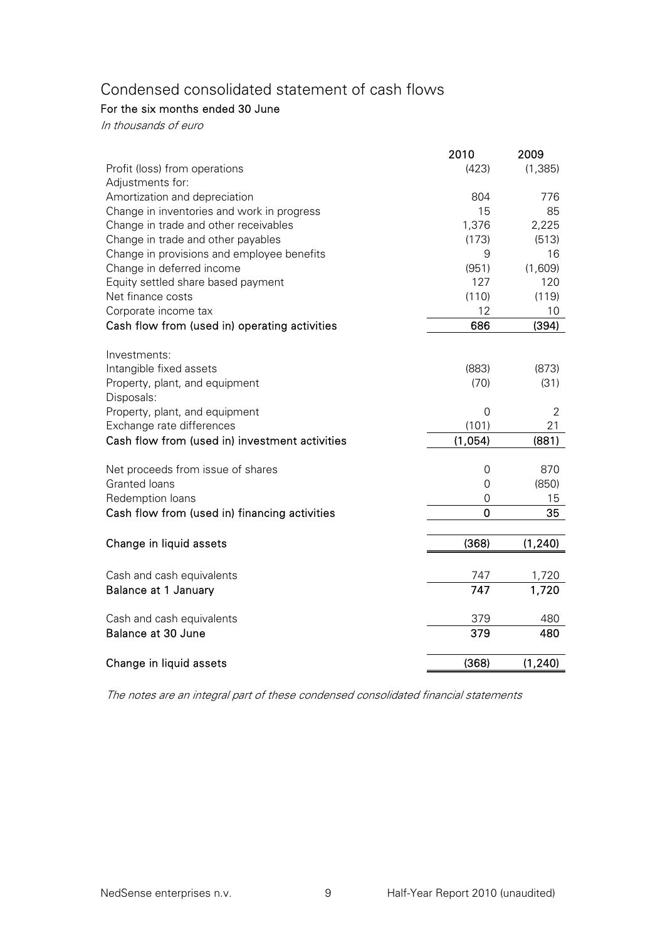# Condensed consolidated statement of cash flows

# For the six months ended 30 June

In thousands of euro

|                                                | 2010        | 2009           |
|------------------------------------------------|-------------|----------------|
| Profit (loss) from operations                  | (423)       | (1, 385)       |
| Adjustments for:                               |             |                |
| Amortization and depreciation                  | 804         | 776            |
| Change in inventories and work in progress     | 15          | 85             |
| Change in trade and other receivables          | 1,376       | 2,225          |
| Change in trade and other payables             | (173)       | (513)          |
| Change in provisions and employee benefits     | 9           | 16             |
| Change in deferred income                      | (951)       | (1,609)        |
| Equity settled share based payment             | 127         | 120            |
| Net finance costs                              | (110)       | (119)          |
| Corporate income tax                           | 12          | 10             |
| Cash flow from (used in) operating activities  | 686         | (394)          |
| Investments:                                   |             |                |
| Intangible fixed assets                        | (883)       | (873)          |
| Property, plant, and equipment                 | (70)        | (31)           |
| Disposals:                                     |             |                |
| Property, plant, and equipment                 | 0           | $\overline{2}$ |
| Exchange rate differences                      | (101)       | 21             |
| Cash flow from (used in) investment activities | (1,054)     | (881)          |
| Net proceeds from issue of shares              | 0           | 870            |
| Granted loans                                  | $\mathbf 0$ | (850)          |
| Redemption loans                               | 0           | 15             |
| Cash flow from (used in) financing activities  | $\mathbf 0$ | 35             |
|                                                |             |                |
| Change in liquid assets                        | (368)       | (1, 240)       |
|                                                |             |                |
| Cash and cash equivalents                      | 747<br>747  | 1,720          |
| Balance at 1 January                           |             | 1,720          |
| Cash and cash equivalents                      | 379         | 480            |
| Balance at 30 June                             | 379         | 480            |
| Change in liquid assets                        | (368)       | (1, 240)       |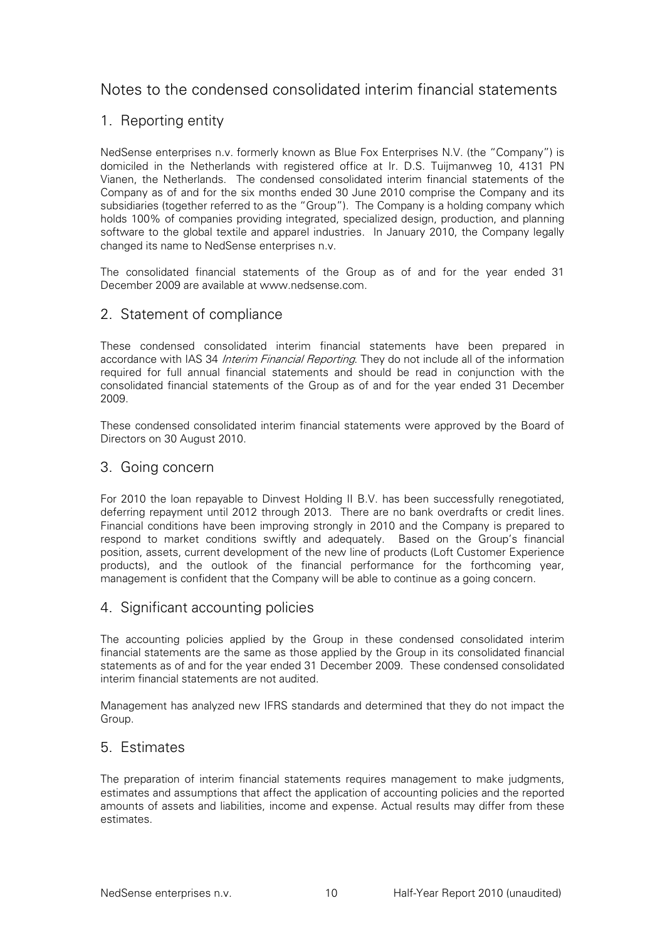# Notes to the condensed consolidated interim financial statements

# 1. Reporting entity

NedSense enterprises n.v. formerly known as Blue Fox Enterprises N.V. (the "Company") is domiciled in the Netherlands with registered office at Ir. D.S. Tuijmanweg 10, 4131 PN Vianen, the Netherlands. The condensed consolidated interim financial statements of the Company as of and for the six months ended 30 June 2010 comprise the Company and its subsidiaries (together referred to as the "Group"). The Company is a holding company which holds 100% of companies providing integrated, specialized design, production, and planning software to the global textile and apparel industries. In January 2010, the Company legally changed its name to NedSense enterprises n.v.

The consolidated financial statements of the Group as of and for the year ended 31 December 2009 are available at www.nedsense.com.

# 2. Statement of compliance

These condensed consolidated interim financial statements have been prepared in accordance with IAS 34 Interim Financial Reporting. They do not include all of the information required for full annual financial statements and should be read in conjunction with the consolidated financial statements of the Group as of and for the year ended 31 December 2009.

These condensed consolidated interim financial statements were approved by the Board of Directors on 30 August 2010.

### 3. Going concern

For 2010 the loan repayable to Dinvest Holding II B.V. has been successfully renegotiated, deferring repayment until 2012 through 2013. There are no bank overdrafts or credit lines. Financial conditions have been improving strongly in 2010 and the Company is prepared to respond to market conditions swiftly and adequately. Based on the Group's financial position, assets, current development of the new line of products (Loft Customer Experience products), and the outlook of the financial performance for the forthcoming year, management is confident that the Company will be able to continue as a going concern.

# 4. Significant accounting policies

The accounting policies applied by the Group in these condensed consolidated interim financial statements are the same as those applied by the Group in its consolidated financial statements as of and for the year ended 31 December 2009. These condensed consolidated interim financial statements are not audited.

Management has analyzed new IFRS standards and determined that they do not impact the Group.

#### 5. Estimates

The preparation of interim financial statements requires management to make judgments, estimates and assumptions that affect the application of accounting policies and the reported amounts of assets and liabilities, income and expense. Actual results may differ from these estimates.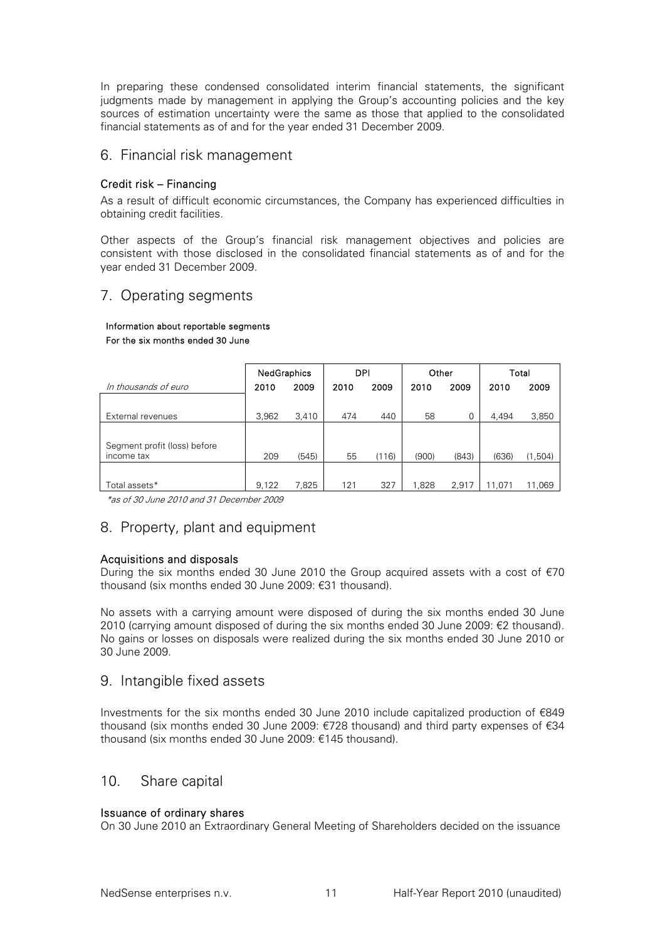In preparing these condensed consolidated interim financial statements, the significant judgments made by management in applying the Group's accounting policies and the key sources of estimation uncertainty were the same as those that applied to the consolidated financial statements as of and for the year ended 31 December 2009.

#### 6. Financial risk management

#### Credit risk – Financing

As a result of difficult economic circumstances, the Company has experienced difficulties in obtaining credit facilities.

Other aspects of the Group's financial risk management objectives and policies are consistent with those disclosed in the consolidated financial statements as of and for the year ended 31 December 2009.

# 7. Operating segments

#### Information about reportable segments For the six months ended 30 June

|                              | <b>NedGraphics</b> |       | <b>DPI</b> |       |       | Other |        | Total   |  |
|------------------------------|--------------------|-------|------------|-------|-------|-------|--------|---------|--|
| In thousands of euro         | 2010               | 2009  | 2010       | 2009  | 2010  | 2009  | 2010   | 2009    |  |
|                              |                    |       |            |       |       |       |        |         |  |
| External revenues            | 3,962              | 3,410 | 474        | 440   | 58    | 0     | 4,494  | 3,850   |  |
|                              |                    |       |            |       |       |       |        |         |  |
| Segment profit (loss) before |                    |       |            |       |       |       |        |         |  |
| income tax                   | 209                | (545) | 55         | (116) | (900) | (843) | (636)  | (1,504) |  |
|                              |                    |       |            |       |       |       |        |         |  |
| Total assets*                | 9.122              | 7,825 | 121        | 327   | 1.828 | 2,917 | 11.071 | 11,069  |  |

\*as of 30 June 2010 and 31 December 2009

# 8. Property, plant and equipment

#### Acquisitions and disposals

During the six months ended 30 June 2010 the Group acquired assets with a cost of  $\epsilon$ 70 thousand (six months ended 30 June 2009: €31 thousand).

No assets with a carrying amount were disposed of during the six months ended 30 June 2010 (carrying amount disposed of during the six months ended 30 June 2009: €2 thousand). No gains or losses on disposals were realized during the six months ended 30 June 2010 or 30 June 2009.

#### 9. Intangible fixed assets

Investments for the six months ended 30 June 2010 include capitalized production of €849 thousand (six months ended 30 June 2009: €728 thousand) and third party expenses of €34 thousand (six months ended 30 June 2009: €145 thousand).

# 10. Share capital

#### Issuance of ordinary shares

On 30 June 2010 an Extraordinary General Meeting of Shareholders decided on the issuance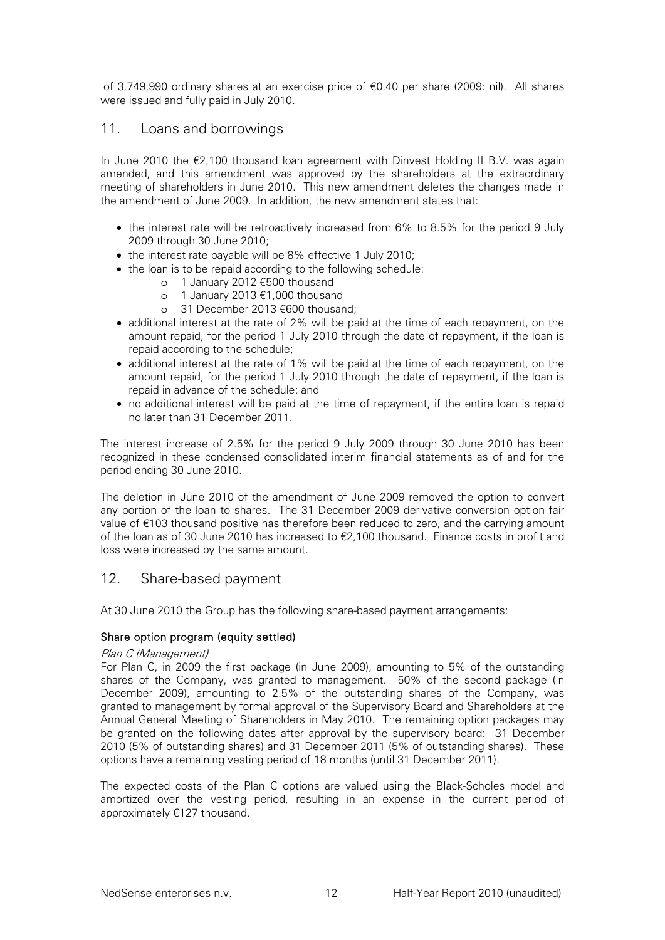of 3,749,990 ordinary shares at an exercise price of €0.40 per share (2009: nil). All shares were issued and fully paid in July 2010.

### 11. Loans and borrowings

In June 2010 the €2,100 thousand loan agreement with Dinvest Holding II B.V. was again amended, and this amendment was approved by the shareholders at the extraordinary meeting of shareholders in June 2010. This new amendment deletes the changes made in the amendment of June 2009. In addition, the new amendment states that:

- the interest rate will be retroactively increased from 6% to 8.5% for the period 9 July 2009 through 30 June 2010;
- the interest rate payable will be 8% effective 1 July 2010;
- the loan is to be repaid according to the following schedule:
	- o 1 January 2012 €500 thousand
	- o 1 January 2013 €1,000 thousand
	- o 31 December 2013 €600 thousand;
- additional interest at the rate of 2% will be paid at the time of each repayment, on the amount repaid, for the period 1 July 2010 through the date of repayment, if the loan is repaid according to the schedule;
- additional interest at the rate of 1% will be paid at the time of each repayment, on the amount repaid, for the period 1 July 2010 through the date of repayment, if the loan is repaid in advance of the schedule; and
- no additional interest will be paid at the time of repayment, if the entire loan is repaid no later than 31 December 2011.

The interest increase of 2.5% for the period 9 July 2009 through 30 June 2010 has been recognized in these condensed consolidated interim financial statements as of and for the period ending 30 June 2010.

The deletion in June 2010 of the amendment of June 2009 removed the option to convert any portion of the loan to shares. The 31 December 2009 derivative conversion option fair value of €103 thousand positive has therefore been reduced to zero, and the carrying amount of the loan as of 30 June 2010 has increased to  $\epsilon$ 2,100 thousand. Finance costs in profit and loss were increased by the same amount.

# 12. Share-based payment

At 30 June 2010 the Group has the following share-based payment arrangements:

#### Share option program (equity settled)

#### Plan C (Management)

For Plan C, in 2009 the first package (in June 2009), amounting to 5% of the outstanding shares of the Company, was granted to management. 50% of the second package (in December 2009), amounting to 2.5% of the outstanding shares of the Company, was granted to management by formal approval of the Supervisory Board and Shareholders at the Annual General Meeting of Shareholders in May 2010. The remaining option packages may be granted on the following dates after approval by the supervisory board: 31 December 2010 (5% of outstanding shares) and 31 December 2011 (5% of outstanding shares). These options have a remaining vesting period of 18 months (until 31 December 2011).

The expected costs of the Plan C options are valued using the Black-Scholes model and amortized over the vesting period, resulting in an expense in the current period of approximately €127 thousand.